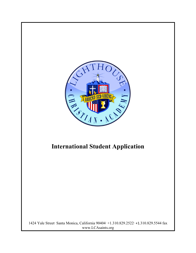

# **International Student Application**

1424 Yale Street·Santa Monica, California 90404·+1.310.829.2522·+1.310.829.5544 fax www.LCAsaints.org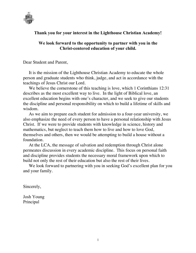

# **Thank you for your interest in the Lighthouse Christian Academy!**

# **We look forward to the opportunity to partner with you in the Christ-centered education of your child.**

Dear Student and Parent,

It is the mission of the Lighthouse Christian Academy to educate the whole person and graduate students who think, judge, and act in accordance with the teachings of Jesus Christ our Lord.

We believe the cornerstone of this teaching is love, which 1 Corinthians 12:31 describes as the most excellent way to live. In the light of Biblical love, an excellent education begins with one's character, and we seek to give our students the discipline and personal responsibility on which to build a lifetime of skills and wisdom.

As we aim to prepare each student for admission to a four-year university, we also emphasize the need of every person to have a personal relationship with Jesus Christ. If we were to provide students with knowledge in science, history and mathematics, but neglect to teach them how to live and how to love God, themselves and others, then we would be attempting to build a house without a foundation.

At the LCA, the message of salvation and redemption through Christ alone permeates discussion in every academic discipline. This focus on personal faith and discipline provides students the necessary moral framework upon which to build not only the rest of their education but also the rest of their lives.

We look forward to partnering with you in seeking God's excellent plan for you and your family.

Sincerely,

Josh Young Principal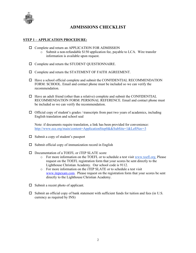

# **ADMISSIONS CHECKLIST**

#### **STEP 1 – APPLICATION PROCEDURE:**

- $\Box$  Complete and return an APPLICATION FOR ADMISSION
	- o Submit a non-refundable \$150 application fee, payable to LCA. Wire transfer information is available upon request.
- $\Box$  Complete and return the STUDENT QUESTIONNAIRE.
- $\Box$  Complete and return the STATEMENT OF FAITH AGREEMENT.
- $\Box$  Have a school official complete and submit the CONFIDENTIAL RECOMMENDATION FORM: SCHOOL. Email and contact phone must be included so we can verify the recommendation.
- $\Box$  Have an adult friend (other than a relative) complete and submit the CONFIDENTIAL RECOMMENDATION FORM: PERSONAL REFERENCE. Email and contact phone must be included so we can verify the recommendation.
- $\Box$  Official copy of student's grades / transcripts from past two years of academics, including English translation and school seal

Note: if documents require translation, a link has been provided for convenience: http://www.ece.org/main/content=ApplicationStep0&&SubSite=1&LeftNav=3

- $\square$  Submit a copy of student's passport
- $\square$  Submit official copy of immunization record in English
- $\Box$  Documentation of a TOEFL or iTEP SLATE score
	- o For more information on the TOEFL or to schedule a test visit www.toefl.org. Please request on the TOEFL registration form that your scores be sent directly to the Lighthouse Christian Academy. Our school code is 9112.
	- o For more information on the iTEP SLATE or to schedule a test visit www.itepexam.com. Please request on the registration form that your scores be sent directly to the Lighthouse Christian Academy.
- $\Box$  Submit a recent photo of applicant.
- $\square$  Submit an official copy of bank statement with sufficient funds for tuition and fees (in U.S. currency as required by INS)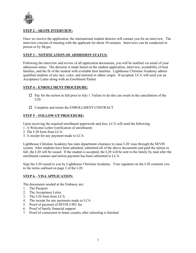

#### **STEP 2 – SKYPE INTERVIEW:**

Once we receive the application, the international student director will contact you for an interview. The interview consists of meeting with the applicant for about 30 minutes. Interviews can be conducted in person or by Skype.

#### **STEP 3 – NOTIFICATION OF ADMISSION STATUS:**

Following the interview and review of all application documents, you will be notified via email of your admission status. The decision is made based on the student application, interview, availability of host families, and the fit of the student with available host families. Lighthouse Christian Academy admits qualified students of any race, color, and national or ethnic origin. If accepted, LCA will send you an Acceptance Letter along with an Enrollment Packet.

#### **STEP 4 – ENROLLMENT PROCEDURE:**

- $\Box$  Pay for the tuition in full prior to July 1. Failure to do this can result in the cancellation of the I-20.
- $\Box$  Complete and return the ENROLLMENT CONTRACT

#### **STEP 5 – FOLLOW-UP PROCEDURE:**

Upon receiving the required enrollment paperwork and fees, LCA will send the following:

- 1. A Welcome Letter (verification of enrollment)
- 2. The I-20 form from LCA
- 3. A receipt for any payment made to LCA

Lighthouse Christian Academy has state department clearance to issue I-20 visas through the SEVIS system. After students have been admitted, submitted all of the above documents and paid the tuition in full, the I-20 will be issued. If the student is accepted, the I-20 will be sent to the family by mail after the enrollment contract and tuition payment has been submitted to LCA.

Sign the I-20 issued to you by Lighthouse Christian Academy. Your signature on the I-20 commits you to the terms outlined on page 2 of the I-20.

#### **STEP 6 – VISA APPLICATION:**

The documents needed at the Embassy are:

- 1. The Passport
- 2. The Acceptance Letter
- 3. The I-20 form from LCA
- 4. The receipt for any payments made to LCA
- 5. Proof of payment of SEVIS I-901 fee
- 6. Proof of family financial support
- 7. Proof of connection to home country after schooling is finished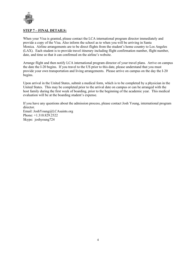

#### **STEP 7 – FINAL DETAILS:**

When your Visa is granted, please contact the LCA international program director immediately and provide a copy of the Visa. Also inform the school as to when you will be arriving in Santa Monica. Airline arrangements are to be direct flights from the student's home country to Los Angeles (LAX). Each student is to provide travel itinerary including flight confirmation number, flight number, date, and time so that it can confirmed on the airline's website.

Arrange flight and then notify LCA international program director of your travel plans. Arrive on campus the date the I-20 begins. If you travel to the US prior to this date, please understand that you must provide your own transportation and living arrangements. Please arrive on campus on the day the I-20 begins.

Upon arrival in the United States, submit a medical form, which is to be completed by a physician in the United States. This may be completed prior to the arrival date on campus or can be arranged with the host family during the first week of boarding, prior to the beginning of the academic year. This medical evaluation will be at the boarding student's expense.

If you have any questions about the admission process, please contact Josh Young, international program director. Email: JoshYoung@LCAsaints.org Phone: +1.310.829.2522 Skype: joshyoung724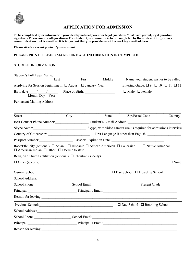

# **APPLICATION FOR ADMISSION**

**To be completed by or information provided by natural parent or legal guardian. Must have parent/legal guardian signature. Please answer all questions. The Student Questionnaire is to be completed by the student. Our primary communication tool is email, so it is important that you provide us with a working email address.**

**Please attach a recent photo of your student.**

#### **PLEASE PRINT. PLEASE MAKE SURE ALL INFORMATION IS COMPLETE.**

#### STUDENT INFORMATION:

| Student's Full Legal Name:                                                                                                                                    |      |       |              |                                          |                                                        |
|---------------------------------------------------------------------------------------------------------------------------------------------------------------|------|-------|--------------|------------------------------------------|--------------------------------------------------------|
| Last                                                                                                                                                          |      | First | Middle       |                                          | Name your student wishes to be called                  |
| Applying for Session beginning in: $\Box$ August $\Box$ January Year:                                                                                         |      |       |              |                                          | Entering Grade: $\Box$ 9 $\Box$ 10 $\Box$ 11 $\Box$ 12 |
| Birth date $\frac{1}{2}$ /<br>Month Day Year                                                                                                                  |      |       |              | $\Box$ Male $\Box$ Female                |                                                        |
| Permanent Mailing Address:                                                                                                                                    |      |       |              |                                          |                                                        |
| <b>Street</b>                                                                                                                                                 | City |       | <b>State</b> | Zip/Postal Code                          | Country                                                |
| Best Contact Phone Number: Student's E-mail Address: New York Contact Phone Number:                                                                           |      |       |              |                                          |                                                        |
| Skype Name: Skype, with video camera use, is required for admissions interview                                                                                |      |       |              |                                          |                                                        |
|                                                                                                                                                               |      |       |              |                                          |                                                        |
|                                                                                                                                                               |      |       |              |                                          |                                                        |
| Race/Ethnicity (optional): □ Asian □ Hispanic □ African American □ Caucasian □ Native American<br>$\Box$ American Indian $\Box$ Other $\Box$ Decline to state |      |       |              |                                          |                                                        |
|                                                                                                                                                               |      |       |              |                                          |                                                        |
|                                                                                                                                                               |      |       |              |                                          | $\square$ None                                         |
| Current School:<br>$\square$ Day School $\square$ Boarding School                                                                                             |      |       |              |                                          |                                                        |
|                                                                                                                                                               |      |       |              |                                          |                                                        |
| School Phone: School Email: Present Grade: Present Grade:                                                                                                     |      |       |              |                                          |                                                        |
| Principal: Principal Communication of Principal's Email: Principal's Email:                                                                                   |      |       |              |                                          |                                                        |
| Reason for leaving:                                                                                                                                           |      |       |              |                                          |                                                        |
|                                                                                                                                                               |      |       |              | $\Box$ Day School $\Box$ Boarding School |                                                        |
| School Address:                                                                                                                                               |      |       |              |                                          |                                                        |
| School Phone: School Email: School Email:                                                                                                                     |      |       |              |                                          |                                                        |
| Principal: Principal's Email:                                                                                                                                 |      |       |              |                                          |                                                        |
| Reason for leaving:                                                                                                                                           |      |       |              |                                          |                                                        |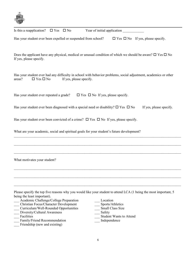

| WILL                                                                                               |                                                                                                                            |
|----------------------------------------------------------------------------------------------------|----------------------------------------------------------------------------------------------------------------------------|
| Is this a reapplication?<br>$\Box$ Yes<br>$\square$ No                                             |                                                                                                                            |
| Has your student ever been expelled or suspended from school?                                      | $\Box$ Yes $\Box$ No If yes, please specify.                                                                               |
| If yes, please specify.                                                                            | Does the applicant have any physical, medical or unusual condition of which we should be aware? $\square$ Yes $\square$ No |
| areas?<br>$\Box$ Yes $\Box$ No<br>If yes, please specify.                                          | Has your student ever had any difficulty in school with behavior problems, social adjustment, academics or other           |
| Has your student ever repeated a grade?                                                            | $\Box$ Yes $\Box$ No If yes, please specify.                                                                               |
| Has your student ever been diagnosed with a special need or disability? $\square$ Yes $\square$ No | If yes, please specify.                                                                                                    |
| Has your student ever been convicted of a crime? $\Box$ Yes $\Box$ No If yes, please specify.      |                                                                                                                            |
| What are your academic, social and spiritual goals for your student's future development?          |                                                                                                                            |
|                                                                                                    |                                                                                                                            |
|                                                                                                    |                                                                                                                            |
| What motivates your student?                                                                       |                                                                                                                            |
|                                                                                                    |                                                                                                                            |
|                                                                                                    |                                                                                                                            |
| being the least important).                                                                        | Please specify the top five reasons why you would like your student to attend LCA (1 being the most important, 5           |
| Academic Challenge/College Preparation                                                             | Location                                                                                                                   |
| Christian Focus/Character Development                                                              | Sports/Athletics                                                                                                           |
| Curriculum/Well-Rounded Opportunities                                                              | Small Class Size                                                                                                           |
| Diversity/Cultural Awareness                                                                       | Safety                                                                                                                     |
| Facilities<br>Family/Friend Recommendation                                                         | <b>Student Wants to Attend</b><br>Independence                                                                             |
|                                                                                                    |                                                                                                                            |

Friendship (new and existing)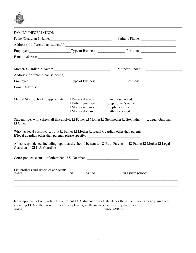

| <b>FAMILY INFORMATION:</b>                                                                                                                                                                   |                         |                                                 |                                     |
|----------------------------------------------------------------------------------------------------------------------------------------------------------------------------------------------|-------------------------|-------------------------------------------------|-------------------------------------|
| Father/Guardian 1 Name:                                                                                                                                                                      |                         |                                                 | Father's Phone:                     |
|                                                                                                                                                                                              |                         |                                                 |                                     |
| Employer: Type of Business: Position: Position: 2001                                                                                                                                         |                         |                                                 |                                     |
|                                                                                                                                                                                              |                         |                                                 |                                     |
|                                                                                                                                                                                              |                         |                                                 |                                     |
|                                                                                                                                                                                              |                         | Mother's Phone:                                 | <u> 1980 - Jan Barbarat, manala</u> |
|                                                                                                                                                                                              |                         |                                                 |                                     |
| Employer: Type of Business: Position: Position: 2001                                                                                                                                         |                         |                                                 |                                     |
|                                                                                                                                                                                              |                         |                                                 |                                     |
|                                                                                                                                                                                              |                         |                                                 |                                     |
| Marital Status, check if appropriate: $\Box$ Parents divorced                                                                                                                                | $\Box$ Father remarried | $\Box$ Parents separated<br>□ Stepmother's name |                                     |
|                                                                                                                                                                                              | $\Box$ Mother remarried | □ Stepfather's name                             |                                     |
|                                                                                                                                                                                              | $\Box$ Mother deceased  | $\Box$ Father deceased                          |                                     |
| Student lives with (check all that apply): $\Box$ Father $\Box$ Mother $\Box$ Stepmother $\Box$ Stepfather $\Box$ Legal Guardian<br>$\Box$ Other                                             |                         |                                                 |                                     |
| Who has legal custody? $\Box$ Joint $\Box$ Father $\Box$ Mother $\Box$ Legal Guardian other than parents<br>If legal guardian other than parents, please specify: __________________________ |                         |                                                 |                                     |
| All correspondence, including report cards, should be sent to: $\Box$ Both Parents $\Box$ Father $\Box$ Mother $\Box$ Legal<br>Guardian $\Box$ U.S. Guardian                                 |                         |                                                 |                                     |
| Correspondence email, if other than U.S. Guardian: ______________________________                                                                                                            |                         |                                                 |                                     |
| List brothers and sisters of applicant:<br>NAME                                                                                                                                              |                         | AGE GRADE PRESENT SCHOOL                        |                                     |
|                                                                                                                                                                                              |                         |                                                 |                                     |
|                                                                                                                                                                                              |                         |                                                 |                                     |
|                                                                                                                                                                                              |                         |                                                 |                                     |
|                                                                                                                                                                                              |                         |                                                 |                                     |

Is the applicant closely related to a present LCA student or graduate? Does the student have any acquaintances attending LCA at the present time? If so, please give the name(s) and specify the relationship. NAME RELATIONSHIP

 $\mathcal{L}_\mathcal{L} = \mathcal{L}_\mathcal{L} = \mathcal{L}_\mathcal{L} = \mathcal{L}_\mathcal{L} = \mathcal{L}_\mathcal{L} = \mathcal{L}_\mathcal{L} = \mathcal{L}_\mathcal{L} = \mathcal{L}_\mathcal{L} = \mathcal{L}_\mathcal{L} = \mathcal{L}_\mathcal{L} = \mathcal{L}_\mathcal{L} = \mathcal{L}_\mathcal{L} = \mathcal{L}_\mathcal{L} = \mathcal{L}_\mathcal{L} = \mathcal{L}_\mathcal{L} = \mathcal{L}_\mathcal{L} = \mathcal{L}_\mathcal{L}$  $\_$  , and the contribution of the contribution of the contribution of the contribution of the contribution of  $\mathcal{L}_\text{max}$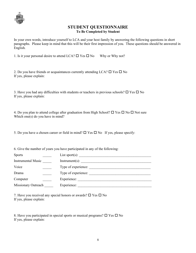

### **STUDENT QUESTIONNAIRE To Be Completed by Student**

In your own words, introduce yourself to LCA and your host family by answering the following questions in short paragraphs. Please keep in mind that this will be their first impression of you. These questions should be answered in English.

1. Is it your personal desire to attend LCA?  $\Box$  Yes  $\Box$  No Why or Why not?

| 2. Do you have friends or acquaintances currently attending LCA? $\square$ Yes $\square$ No |  |  |
|---------------------------------------------------------------------------------------------|--|--|
| If yes, please explain:                                                                     |  |  |

3. Have you had any difficulties with students or teachers in previous schools?  $\Box$  Yes  $\Box$  No If yes, please explain:

4. Do you plan to attend college after graduation from High School?  $\Box$  Yes  $\Box$  No  $\Box$  Not sure Which one(s) do you have in mind?

5. Do you have a chosen career or field in mind?  $\Box$  Yes  $\Box$  No If yes, please specify:

6. Give the number of years you have participated in any of the following:

| List sport $(s)$ :  |
|---------------------|
| $Instrument(s)$ :   |
| Type of experience: |
| Type of experience: |
| Experience:         |
| Experience:         |
|                     |

7. Have you received any special honors or awards?  $\Box$  Yes  $\Box$  No If yes, please explain:

8. Have you participated in special sports or musical programs?  $\Box$  Yes  $\Box$  No If yes, please explain: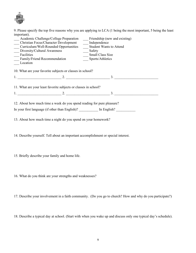

9. Please specify the top five reasons why you are applying to LCA (1 being the most important, 5 being the least important).

| Academic Challenge/College Preparation Friendship (new and existing)<br><b>Christian Focus/Character Development</b><br>Curriculum/Well-Rounded Opportunities<br>Diversity/Cultural Awareness<br>Facilities<br><b>Family/Friend Recommendation</b><br>Location                                                         | Independence<br>Safety<br><b>Small Class Size</b><br>__ Sports/Athletics | <b>Student Wants to Attend</b> |
|------------------------------------------------------------------------------------------------------------------------------------------------------------------------------------------------------------------------------------------------------------------------------------------------------------------------|--------------------------------------------------------------------------|--------------------------------|
| 10. What are your favorite subjects or classes in school?                                                                                                                                                                                                                                                              |                                                                          |                                |
|                                                                                                                                                                                                                                                                                                                        |                                                                          |                                |
| 11. What are your least favorite subjects or classes in school?                                                                                                                                                                                                                                                        |                                                                          |                                |
| 1. $\frac{1}{2}$ $\frac{2}{2}$ $\frac{3}{2}$ $\frac{3}{2}$ $\frac{3}{2}$ $\frac{3}{2}$ $\frac{3}{2}$ $\frac{3}{2}$ $\frac{3}{2}$ $\frac{3}{2}$ $\frac{3}{2}$ $\frac{3}{2}$ $\frac{3}{2}$ $\frac{3}{2}$ $\frac{3}{2}$ $\frac{3}{2}$ $\frac{3}{2}$ $\frac{3}{2}$ $\frac{3}{2}$ $\frac{3}{2}$ $\frac{3}{2}$ $\frac{3}{2}$ |                                                                          |                                |
| 12. About how much time a week do you spend reading for pure pleasure?<br>In your first language (if other than English)?                                                                                                                                                                                              |                                                                          | In English?                    |

13. About how much time a night do you spend on your homework?

14. Describe yourself. Tell about an important accomplishment or special interest.

15. Briefly describe your family and home life.

16. What do you think are your strengths and weaknesses?

17. Describe your involvement in a faith community. (Do you go to church? How and why do you participate?)

18. Describe a typical day at school. (Start with when you wake up and discuss only one typical day's schedule).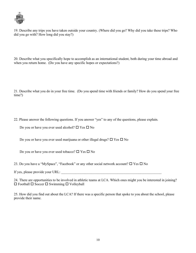

19. Describe any trips you have taken outside your country. (Where did you go? Why did you take these trips? Who did you go with? How long did you stay?)

20. Describe what you specifically hope to accomplish as an international student, both during your time abroad and when you return home. (Do you have any specific hopes or expectations?)

21. Describe what you do in your free time. (Do you spend time with friends or family? How do you spend your free time?)

22. Please answer the following questions. If you answer "yes" to any of the questions, please explain.

Do you or have you ever used alcohol?  $\Box$  Yes  $\Box$  No

Do you or have you ever used marijuana or other illegal drugs?  $\Box$  Yes  $\Box$  No

Do you or have you ever used tobacco?  $\Box$  Yes  $\Box$  No

23. Do you have a "MySpace", "Facebook" or any other social network account?  $\Box$  Yes  $\Box$  No

If yes, please provide your URL:

24. There are opportunities to be involved in athletic teams at LCA. Which ones might you be interested in joining?  $\Box$  Football  $\Box$  Soccer  $\Box$  Swimming  $\Box$  Volleyball

25. How did you find out about the LCA? If there was a specific person that spoke to you about the school, please provide their name.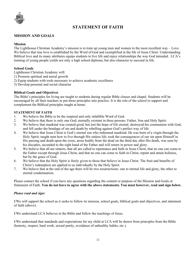

# **STATEMENT OF FAITH**

#### **MISSION AND GOALS**

#### **Mission**

The Lighthouse Christian Academy's mission is to train up young men and women in the most excellent way – Love. We believe that true love is established by the Word of God and exemplified in the life of Jesus Christ. Understanding Biblical love and its many attributes equips students to live life and enjoy relationships the way God intended. LCA's training of young people yields not only a high school diploma, but also character to succeed in life.

#### **School Goals**

Lighthouse Christian Academy will:

- 1) Promote spiritual and moral growth
- 2) Equip students with tools necessary to achieve academic excellence
- 3) Develop personal and social character

#### **Biblical Goals and Objectives**

The Bible's principles for living are taught to students during regular Bible classes and chapel. Students will be encouraged by all their teachers to put these principles into practice. It is the role of the school to support and complement the Biblical principles taught at home.

#### **STATEMENT OF FAITH**

- 1. We believe the Bible to be the inspired and only infallible Word of God.
- 2. We believe that there is only one God, eternally existent in three persons: Father, Son and Holy Spirit.
- 3. We believe that mankind was created good, but lost the hope of life eternal, destroyed his communion with God, and fell under the bondage of sin and death by rebelling against God's perfect way of life.
- 4. We believe that Jesus Christ is God's eternal son who redeemed mankind. He was born of a virgin through the Holy Spirit, taught men how to live through His sinless life, took the consequences of our sin upon Himself in His passing and death upon the cross, arose bodily from the dead on the third day after His death, was seen by his disciples, ascended to the right hand of the Father and will return in power and glory.
- 5. We believe that all are sinners, that all are called to repentance and faith in Jesus Christ, that no one can come to the Father except through Jesus Christ, and that no one can come to faith in Christ, repent and attain holiness, but by the grace of God.
- 6. We believe that the Holy Spirit is freely given to those that believe in Jesus Christ. The fruit and benefits of Christ's redemption are applied to us individually by the Holy Spirit.
- 7. We believe that at the end of the age there will be two resurrections: one to eternal life and glory, the other to eternal condemnation.

Please contact the school if you have any questions regarding the content or purpose of the Mission and Goals or Statement of Faith. **You do not have to agree with the above statements. You must however, read and sign below.**

#### *Please read and sign:*

I/We will support the school as it seeks to follow its mission, school goals, biblical goals and objectives, and statement of faith (above).

I/We understand LCA believes in the Bible and follow the teachings of Jesus.

I/We understand that standards and expectations for my child at LCA will be drawn from principles from the Bible (honesty, respect, hard work, sexual purity, avoidance of unhealthy habits, etc.).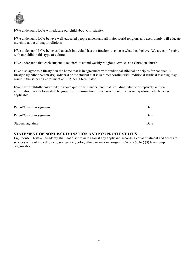

I/We understand LCA will educate our child about Christianity.

I/We understand LCA believe well-educated people understand all major world religions and accordingly will educate my child about all major religions.

I/We understand LCA believes that each individual has the freedom to choose what they believe. We are comfortable with our child in this type of culture.

I/We understand that each student is required to attend weekly religious services at a Christian church.

I/We also agree to a lifestyle in the home that is in agreement with traditional Biblical principles for conduct. A lifestyle by either parent(s)/guardian(s) or the student that is in direct conflict with traditional Biblical teaching may result in the student's enrollment at LCA being terminated.

I/We have truthfully answered the above questions. I understand that providing false or deceptively written information on any form shall be grounds for termination of the enrollment process or expulsion, whichever is applicable.

| Parent/Guardian signature | Date |
|---------------------------|------|
| Parent/Guardian signature | Date |
| Student signature         | Date |

### **STATEMENT OF NONDISCRIMINATION AND NONPROFIT STATUS**

Lighthouse Christian Academy shall not discriminate against any applicant, according equal treatment and access to services without regard to race, sex, gender, color, ethnic or national origin. LCA is a 501(c) (3) tax-exempt organization.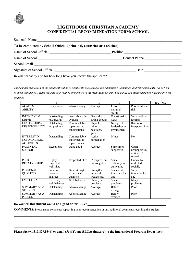

# **LIGHTHOUSE CHRISTIAN ACADEMY CONFIDENTIAL RECOMMENDATION FORM: SCHOOL**

| Student's Name                                                                                                                                                                                                                |               |
|-------------------------------------------------------------------------------------------------------------------------------------------------------------------------------------------------------------------------------|---------------|
| To be completed by School Official (principal, counselor or a teacher):                                                                                                                                                       |               |
|                                                                                                                                                                                                                               | Position      |
|                                                                                                                                                                                                                               | Contact Phone |
| School Email School and School and School and School and School and School and School and School and School and School and School and School and School and School and School and School and School and School and School and |               |
| Signature of School Official                                                                                                                                                                                                  | Date          |
| In what capacity and for how long have you known the applicant?                                                                                                                                                               |               |

 $\mathcal{L}_\mathcal{L} = \mathcal{L}_\mathcal{L} = \mathcal{L}_\mathcal{L} = \mathcal{L}_\mathcal{L} = \mathcal{L}_\mathcal{L} = \mathcal{L}_\mathcal{L} = \mathcal{L}_\mathcal{L} = \mathcal{L}_\mathcal{L} = \mathcal{L}_\mathcal{L} = \mathcal{L}_\mathcal{L} = \mathcal{L}_\mathcal{L} = \mathcal{L}_\mathcal{L} = \mathcal{L}_\mathcal{L} = \mathcal{L}_\mathcal{L} = \mathcal{L}_\mathcal{L} = \mathcal{L}_\mathcal{L} = \mathcal{L}_\mathcal{L}$ 

*Your candid evaluation of the applicant will be of invaluable assistance to the Admissions Committee, and your comments will be held in strict confidence. Please indicate your ratings by numbers in the right-hand column. Use a question mark where you have insufficient evidence.*

|                         | 5             | 4               | 3              | $\mathfrak{D}$ |                  | <b>RATING</b> |
|-------------------------|---------------|-----------------|----------------|----------------|------------------|---------------|
| <b>ACADEMIC</b>         | Exceptional   | Above average   | Average        | Lower          | Poor academic    |               |
| <b>ABILITY</b>          |               |                 |                | marginal       | risk             |               |
|                         |               |                 |                | ability        |                  |               |
| <b>INITIATIVE &amp;</b> | Outstanding,  | Well above the  | Generally      | Occasionally   | Very weak or     |               |
| <b>DRIVE</b>            | resourceful   | average         | strong enough  | weak           | lacking          |               |
| <b>LEADERSHIP &amp;</b> | Outstanding,  | Commendable,    | Capable,       | No sign of     | Record of        |               |
| <b>RESPONSIBILITY</b>   | top positions | top or next to  | minor          | leadership or  | irresponsibility |               |
|                         |               | top positions   | positions,     | involvement    |                  |               |
|                         |               |                 | good           |                |                  |               |
| <b>INTEREST IN</b>      | Outstanding   | Commendable,    | Active         | Minor          | No               |               |
| <b>NONACADEMIC</b>      |               | top or next to  | participation  |                |                  |               |
| <b>ACTIVITIES</b>       |               | top activities  |                |                |                  |               |
| <b>PARENTAL</b>         | Exceptional   | Quite good      | Average        | Sometimes      | Often            |               |
| <b>SUPPORT</b>          |               |                 |                | supportive     | unsupportive,    |               |
|                         |               |                 |                |                | critical of      |               |
|                         |               |                 |                |                | school           |               |
| <b>PEER</b>             | Highly        | Respected/liked | Accepted, but  | Some           | Unhealthy,       |               |
| <b>RELATIONSHIPS</b>    | respected,    |                 | not sought out | difficulty in  | unskilled        |               |
|                         | well-liked    |                 |                | cultivating    | socially         |               |
| <b>PERSONAL</b>         | Superior      | Great strengths | Strengths      | Somewhat       | Very             |               |
| <b>QUALITES</b>         | personal      | in personal     | outweigh       | immature for   | immature for     |               |
|                         | qualities     | qualities       | weaknesses     | age            | age              |               |
| <b>EMOTIONAL</b>        | Extremely     | Well balanced   | Usually no     | Some           | Many             |               |
|                         | well balanced |                 | problems       | problems       | problems         |               |
| <b>SUMMARY AS A</b>     | Outstanding   | Above average   | Average        | <b>Below</b>   | Poor             |               |
| <b>STUDENT</b>          |               |                 |                | average        |                  |               |
| <b>SUMMARY AS A</b>     | Outstanding   | Above average   | Average        | <b>Below</b>   | Poor             |               |
| <b>PERSON</b>           |               |                 |                | average        |                  |               |

## Do you feel this student would be a good fit for LCA? \_\_\_\_\_\_\_\_\_\_\_\_\_\_\_\_\_\_\_\_\_\_\_\_\_\_\_\_

**COMMENTS:** Please make comments supporting your recommendation or any additional comments regarding this student.

|  |  |  | Please fax (+1.310.829.5544) or email (JoshYoung@LCAsaints.org) to the International Program Department |  |
|--|--|--|---------------------------------------------------------------------------------------------------------|--|
|  |  |  |                                                                                                         |  |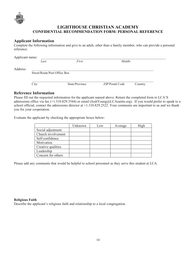

# **LIGHTHOUSE CHRISTIAN ACADEMY CONFIDENTIAL RECOMMENDATION FORM: PERSONAL REFERENCE**

### **Applicant Information**

Complete the following information and give to an adult, other than a family member, who can provide a personal reference.

| Applicant name: |                              |                |                 |         |  |
|-----------------|------------------------------|----------------|-----------------|---------|--|
|                 | Last                         | First          | Middle          |         |  |
| Address:        |                              |                |                 |         |  |
|                 | Street/Route/Post Office Box |                |                 |         |  |
|                 | City                         | State/Province | ZIP/Postal Code | Country |  |

#### **Reference Information**

Please fill out the requested information for the applicant named above. Return the completed form to LCA'S admissions office via fax (+1.310.829.5544) or email (JoshYoung@LCAsaints.org). If you would prefer to speak to a school official, contact the admissions director at +1.310.829.2522. Your comments are important to us and we thank you for your cooperation.

Evaluate the applicant by checking the appropriate boxes below:

|                    | Unknown | Low | Average | High |
|--------------------|---------|-----|---------|------|
| Social adjustment  |         |     |         |      |
| Church involvement |         |     |         |      |
| Self-confidence    |         |     |         |      |
| Motivation         |         |     |         |      |
| Creative qualities |         |     |         |      |
| Leadership         |         |     |         |      |
| Concern for others |         |     |         |      |

Please add any comments that would be helpful to school personnel as they serve this student at LCA.

#### **Religious Faith**

Describe the applicant's religious faith and relationship to a local congregation.